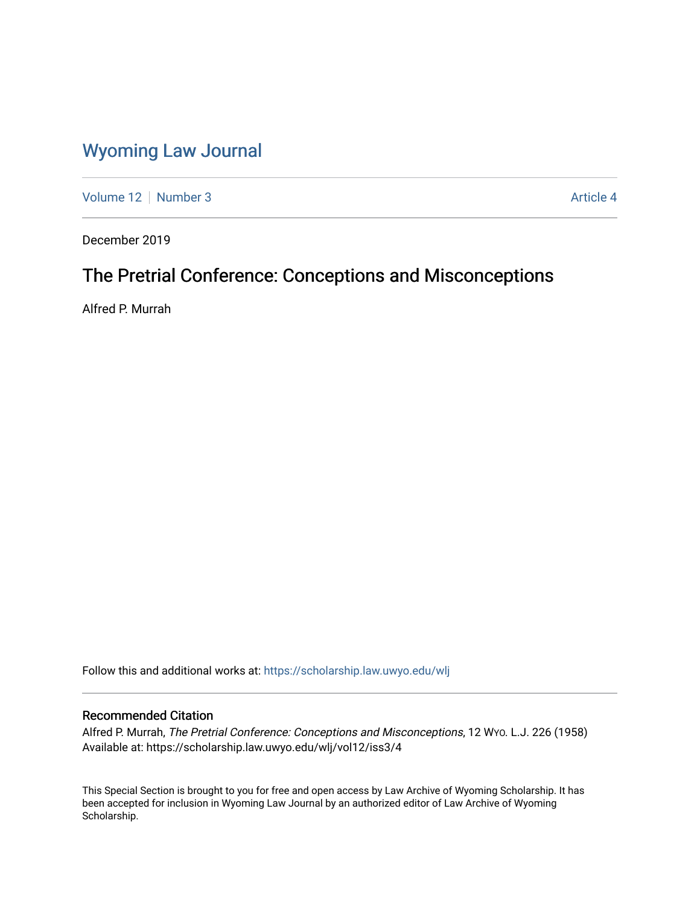## [Wyoming Law Journal](https://scholarship.law.uwyo.edu/wlj)

[Volume 12](https://scholarship.law.uwyo.edu/wlj/vol12) [Number 3](https://scholarship.law.uwyo.edu/wlj/vol12/iss3) Article 4

December 2019

# The Pretrial Conference: Conceptions and Misconceptions

Alfred P. Murrah

Follow this and additional works at: [https://scholarship.law.uwyo.edu/wlj](https://scholarship.law.uwyo.edu/wlj?utm_source=scholarship.law.uwyo.edu%2Fwlj%2Fvol12%2Fiss3%2F4&utm_medium=PDF&utm_campaign=PDFCoverPages) 

### Recommended Citation

Alfred P. Murrah, The Pretrial Conference: Conceptions and Misconceptions, 12 WYO. L.J. 226 (1958) Available at: https://scholarship.law.uwyo.edu/wlj/vol12/iss3/4

This Special Section is brought to you for free and open access by Law Archive of Wyoming Scholarship. It has been accepted for inclusion in Wyoming Law Journal by an authorized editor of Law Archive of Wyoming Scholarship.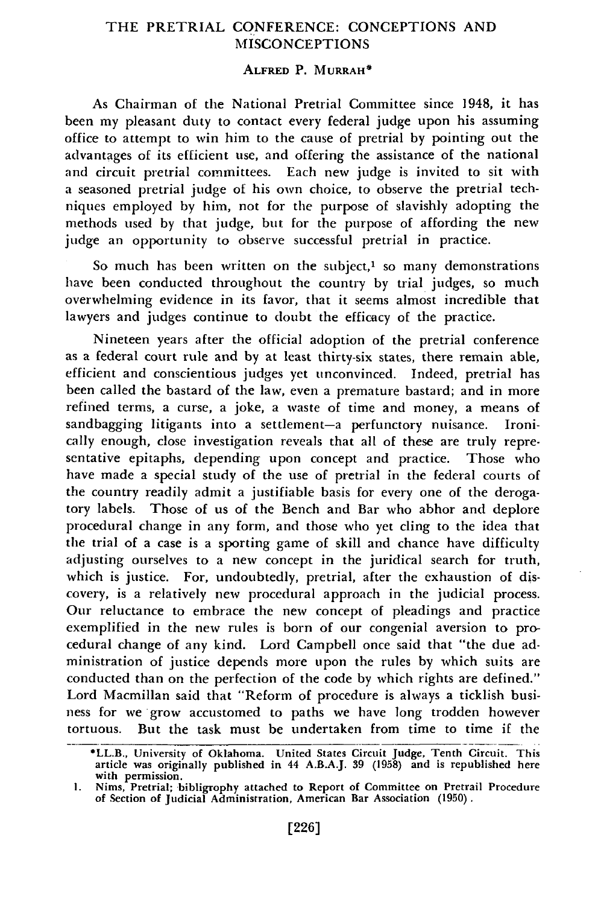### THE PRETRIAL CONFERENCE: CONCEPTIONS **AND MISCONCEPTIONS**

#### **ALFRED** P. **MURRAH\***

As Chairman of the National Pretrial Committee since 1948, it has been my pleasant duty to contact every federal judge upon his assuming office to attempt to win him to the cause of pretrial by pointing out the advantages of its efficient use, and offering the assistance of the national and circuit pretrial committees. Each new judge is invited to sit with a seasoned pretrial judge of his own choice, to observe the pretrial techniques employed by him, not for the purpose of slavishly adopting the methods used by that judge, but for the purpose of affording the new judge an opportunity to observe successful pretrial in practice.

So much has been written on the subject, $1$  so many demonstrations have been conducted throughout the country by trial judges, so much overwhelming evidence in its favor, that it seems almost incredible that lawyers and judges continue to doubt the efficacy of the practice.

Nineteen years after the official adoption of the pretrial conference as a federal court rule and by at least thirty-six states, there remain able, efficient and conscientious judges yet unconvinced. Indeed, pretrial has been called the bastard of the law, even a premature bastard; and in more refined terms, a curse, a joke, a waste of time and money, a means of sandbagging litigants into a settlement-a perfunctory nuisance. Ironically enough, close investigation reveals that all of these are truly representative epitaphs, depending upon concept and practice. Those who have made a special study of the use of pretrial in the federal courts of the country readily admit a justifiable basis for every one of the derogatory labels. Those of us of the Bench and Bar who abhor and deplore procedural change in any form, and those who yet cling to the idea that the trial of a case is a sporting game of skill and chance have difficulty adjusting ourselves to a new concept in the juridical search for truth, which is justice. For, undoubtedly, pretrial, after the exhaustion of discovery, is a relatively new procedural approach in the judicial process. Our reluctance to embrace the new concept of pleadings and practice exemplified in the new rules is born of our congenial aversion to procedural change of any kind. Lord Campbell once said that "the due administration of justice depends more upon the rules by which suits are conducted than on the perfection of the code by which rights are defined." Lord Macmillan said that "Reform of procedure is always a ticklish business for we grow accustomed to paths we have long trodden however tortuous. But the task must be undertaken from time to time if the

<sup>\*</sup>LL.B., University of Oklahoma. United States Circuit Judge, Tenth Circuit. This article was originally published in 44 A.B.A.J. **39** (1958) and is republished here with permission.

**<sup>1.</sup>** Nims, Pretrial; bibligrophy attached to Report of Committee on Pretrail Procedure of Section of Judicial Administration, American Bar Association (1950).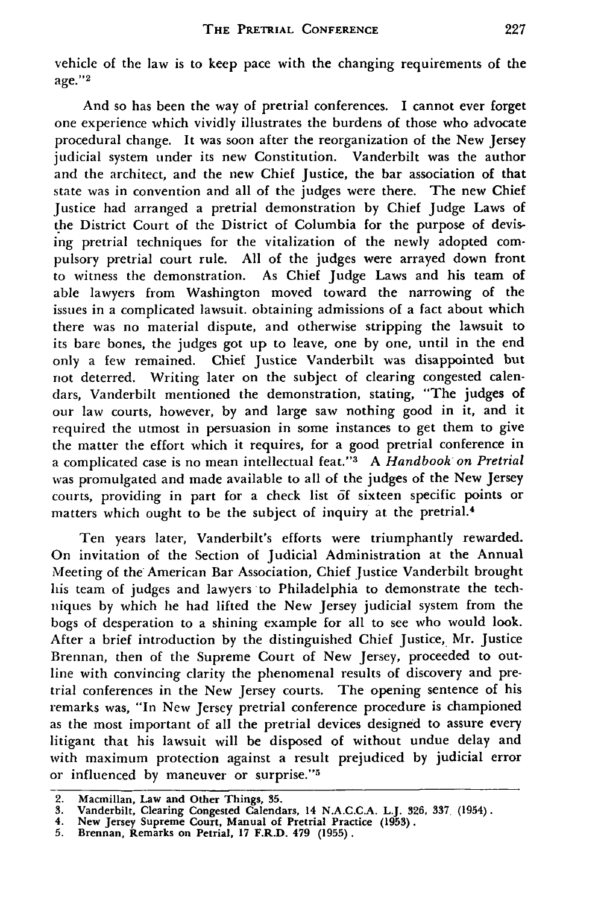vehicle of the law is to keep pace with the changing requirements of the age."<sup>2</sup>

And so has been the way of pretrial conferences. I cannot ever forget one experience which vividly illustrates the burdens of those who advocate procedural change. It was soon after the reorganization of the New Jersey judicial system under its new Constitution. Vanderbilt was the author and the architect, and the new Chief Justice, the bar association of that state was in convention and all of the judges were there. The new Chief Justice had arranged a pretrial demonstration by Chief Judge Laws of the District Court of the District of Columbia for the purpose of devising pretrial techniques for the vitalization of the newly adopted compulsory pretrial court rule. All of the judges were arrayed down front to witness the demonstration. As Chief Judge Laws and his team of able lawyers from Washington moved toward the narrowing of the issues in a complicated lawsuit. obtaining admissions of a fact about which there was no material dispute, and otherwise stripping the lawsuit to its bare bones, the judges got up to leave, one by one, until in the end only a few remained. Chief Justice Vanderbilt was disappointed but not deterred. Writing later on the subject of clearing congested calendars, Vanderbilt mentioned the demonstration, stating, "The judges of our law courts, however, by and large saw nothing good in it, and it required the utmost in persuasion in some instances to get them to give the matter the effort which it requires, for a good pretrial conference in a complicated case is no mean intellectual feat."'3 A *Handbook on Pretrial* was promulgated and made available to all of the judges of the New Jersey courts, providing in part for a check list **df** sixteen specific points or matters which ought to be the subject of inquiry at the pretrial.<sup>4</sup>

Ten years later, Vanderbilt's efforts were triumphantly rewarded. On invitation of the Section of Judicial Administration at the Annual Meeting of the American Bar Association, Chief Justice Vanderbilt brought his team of judges and lawyers to Philadelphia to demonstrate the techniques by which he had lifted the New Jersey judicial system from the bogs of desperation to a shining example for all to see who would look. After a brief introduction by the distinguished Chief Justice, Mr. Justice Brennan, then of the Supreme Court of New Jersey, proceeded to outline with convincing clarity the phenomenal results of discovery and pretrial conferences in the New Jersey courts. The opening sentence of his remarks was, "In New Jersey pretrial conference procedure is championed as the most important of all the pretrial devices designed to assure every litigant that his lawsuit will be disposed of without undue delay and with maximum protection against a result prejudiced by judicial error or influenced by maneuver or surprise."<sup>5</sup>

<sup>2.</sup> Macmillan, Law and Other Things, 35.<br>3. Vanderbilt, Clearing Congested Calendars, 14 N.A.C.C.A. L.J. 326, 337 (1954)<br>4. New Jersey Supreme Court, Manual of Pretrial Practice (1953).<br>5. Brennan, Remarks on Petrial, 17 F.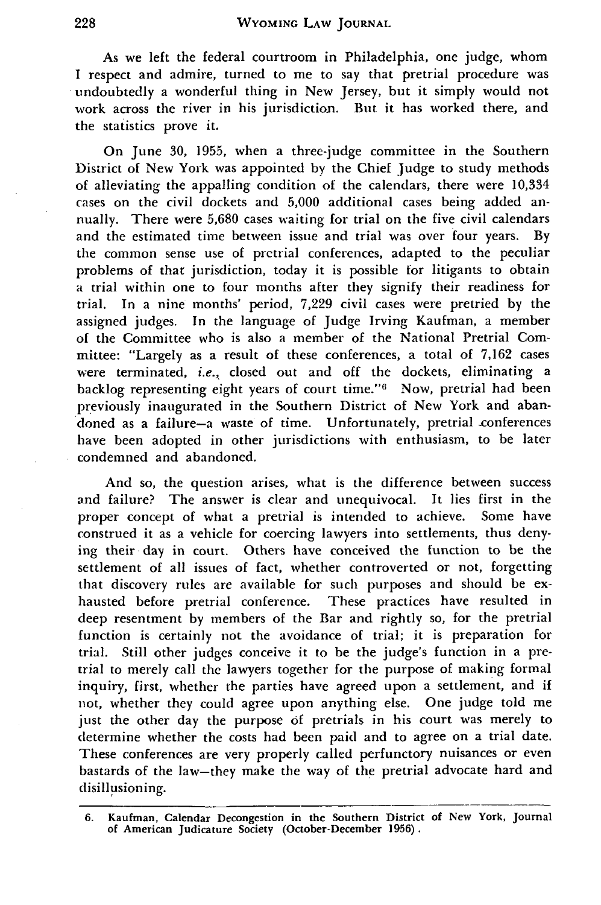As we left the federal courtroom in Philadelphia, one judge, whom I respect and admire, turned to me to say that pretrial procedure was undoubtedly a wonderful thing in New Jersey, but it simply would not work across the river in his jurisdiction. But it has worked there, and the statistics prove it.

On June 30, 1955, when a three-judge committee in the Southern District of New York was appointed by the Chief Judge to study methods of alleviating the appalling condition of the calendars, there were 10,334 cases on the civil dockets and 5,000 additional cases being added annually. There were 5,680 cases waiting for trial on the five civil calendars and the estimated time between issue and trial was over four years. **By** the common sense use of pretrial conferences, adapted to the peculiar problems of that jurisdiction, today it is possible for litigants to obtain a trial within one to four months after they signify their readiness for trial. In a nine months' period, 7,229 civil cases were pretried by the assigned judges. In the language of Judge Irving Kaufman, a member of the Committee who is also a member of the National Pretrial Committee: "Largely as a result of these conferences, a total of **7,162** cases were terminated, *i.e.,* closed out and off the dockets, eliminating a backlog representing eight years of court time."<sup>6</sup> Now, pretrial had been previously inaugurated in the Southern District of New York and abandoned as a failure-a waste of time. Unfortunately, pretrial conferences have been adopted in other jurisdictions with enthusiasm, to be later condemned and abandoned.

And so, the question arises, what is the difference between success and failure? The answer is clear and unequivocal. It lies first in the proper concept of what a pretrial is intended to achieve. Some have construed it as a vehicle for coercing lawyers into settlements, thus denying their day in court. Others have conceived the function to be the settlement of all issues of fact, whether controverted or not, forgetting that discovery rules are available for such purposes and should be exhausted before pretrial conference. These practices have resulted in deep resentment by members of the Bar and rightly so, for the pretrial function is certainly not the avoidance of trial; it is preparation for trial. Still other judges conceive it to be the judge's function in a pretrial to merely call the lawyers together for the purpose of making formal inquiry, first, whether the parties have agreed upon a settlement, and if not, whether they could agree upon anything else. One judge told me just the other day the purpose of pretrials in his court was merely to determine whether the costs had been paid and to agree on a trial date. These conferences are very properly called perfunctory nuisances or even bastards of the law-they make the way of the pretrial advocate hard and disillusioning.

**<sup>6.</sup>** Kaufman, Calendar Decongestion in the Southern District of New York, Journal of American Judicature Society (October-December **1956).**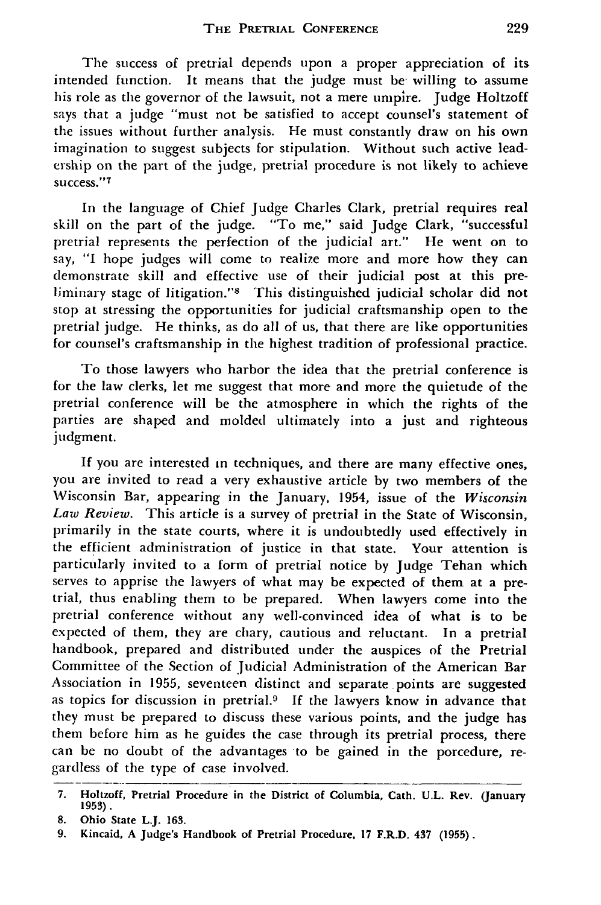The success of pretrial depends upon a proper appreciation of its intended function. It means that the judge must be willing to assume his role as the governor of the lawsuit, not a mere umpire. Judge Holtzoff says that a judge "must not be satisfied to accept counsel's statement of the issues without further analysis. He must constantly draw on his own imagination to suggest subjects for stipulation. Without such active leadership on the part of the judge, pretrial procedure is not likely to achieve success."7

In the language of Chief Judge Charles Clark, pretrial requires real skill on the part of the judge. "To me," said Judge Clark, "successful pretrial represents the perfection of the judicial art." He went on to say, "I hope judges will come to realize more and more how they can demonstrate skill and effective use of their judicial post at this preliminary stage of litigation."<sup>8</sup> This distinguished judicial scholar did not stop at stressing the opportunities for judicial craftsmanship open to the pretrial judge. He thinks, as do all of us, that there are like opportunities for counsel's craftsmanship in the highest tradition of professional practice.

To those lawyers who harbor the idea that the pretrial conference is for the law clerks, let me suggest that more and more the quietude of the pretrial conference will be the atmosphere in which the rights of the parties are shaped and molded ultimately into a just and righteous judgment.

**If** you are interested in techniques, and there are many effective ones, you are invited to read a very exhaustive article by two members of the Wisconsin Bar, appearing in the January, 1954, issue of the *Wisconsin Law Review.* This article is a survey of pretrial in the State of Wisconsin, primarily in the state courts, where it is undoubtedly used effectively in the efficient administration of justice in that state. Your attention is particularly invited to a form of pretrial notice by Judge Tehan which serves to apprise the lawyers of what may be expected of them at a pretrial, thus enabling them to be prepared. When lawyers come into the pretrial conference without any well-convinced idea of what is to be expected of them, they are chary, cautious and reluctant. In a pretrial handbook, prepared and distributed under the auspices of the Pretrial Committee of the Section of Judicial Administration of the American Bar Association in **1955,** seventeen distinct and separate points are suggested as topics for discussion in pretrial.<sup>9</sup> If the lawyers know in advance that they must be prepared to discuss these various points, and the judge has them before him as he guides the case through its pretrial process, there can be no doubt of the advantages to be gained in the porcedure, regardless of the type of case involved.

**<sup>7.</sup>** Holtzoff, Pretrial Procedure in the District of Columbia, Cath. **U.L.** Rev. (January **1953).**

**<sup>8.</sup> Ohio** State **L.J. 163.**

**<sup>9.</sup> Kincaid, A Judge's Handbook of Pretrial** Procedure, **17 F.R.D.** 437 **(1955).**